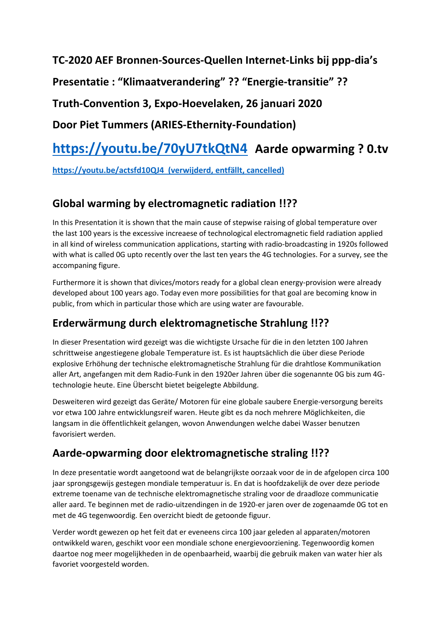**TC-2020 AEF Bronnen-Sources-Quellen Internet-Links bij ppp-dia's**

**Presentatie : "Klimaatverandering" ?? "Energie-transitie" ??**

**Truth-Convention 3, Expo-Hoevelaken, 26 januari 2020**

**Door Piet Tummers (ARIES-Ethernity-Foundation)**

# **<https://youtu.be/70yU7tkQtN4> Aarde opwarming ? 0.tv**

**<https://youtu.be/actsfd10QJ4>(verwijderd, entfällt, cancelled)**

# **Global warming by electromagnetic radiation !!??**

In this Presentation it is shown that the main cause of stepwise raising of global temperature over the last 100 years is the excessive increaese of technological electromagnetic field radiation applied in all kind of wireless communication applications, starting with radio-broadcasting in 1920s followed with what is called 0G upto recently over the last ten years the 4G technologies. For a survey, see the accompaning figure.

Furthermore it is shown that divices/motors ready for a global clean energy-provision were already developed about 100 years ago. Today even more possibilities for that goal are becoming know in public, from which in particular those which are using water are favourable.

# **Erderwärmung durch elektromagnetische Strahlung !!??**

In dieser Presentation wird gezeigt was die wichtigste Ursache für die in den letzten 100 Jahren schrittweise angestiegene globale Temperature ist. Es ist hauptsächlich die über diese Periode explosive Erhöhung der technische elektromagnetische Strahlung für die drahtlose Kommunikation aller Art, angefangen mit dem Radio-Funk in den 1920er Jahren über die sogenannte 0G bis zum 4Gtechnologie heute. Eine Überscht bietet beigelegte Abbildung.

Desweiteren wird gezeigt das Geräte/ Motoren für eine globale saubere Energie-versorgung bereits vor etwa 100 Jahre entwicklungsreif waren. Heute gibt es da noch mehrere Möglichkeiten, die langsam in die öffentlichkeit gelangen, wovon Anwendungen welche dabei Wasser benutzen favorisiert werden.

# **Aarde-opwarming door elektromagnetische straling !!??**

In deze presentatie wordt aangetoond wat de belangrijkste oorzaak voor de in de afgelopen circa 100 jaar sprongsgewijs gestegen mondiale temperatuur is. En dat is hoofdzakelijk de over deze periode extreme toename van de technische elektromagnetische straling voor de draadloze communicatie aller aard. Te beginnen met de radio-uitzendingen in de 1920-er jaren over de zogenaamde 0G tot en met de 4G tegenwoordig. Een overzicht biedt de getoonde figuur.

Verder wordt gewezen op het feit dat er eveneens circa 100 jaar geleden al apparaten/motoren ontwikkeld waren, geschikt voor een mondiale schone energievoorziening. Tegenwoordig komen daartoe nog meer mogelijkheden in de openbaarheid, waarbij die gebruik maken van water hier als favoriet voorgesteld worden.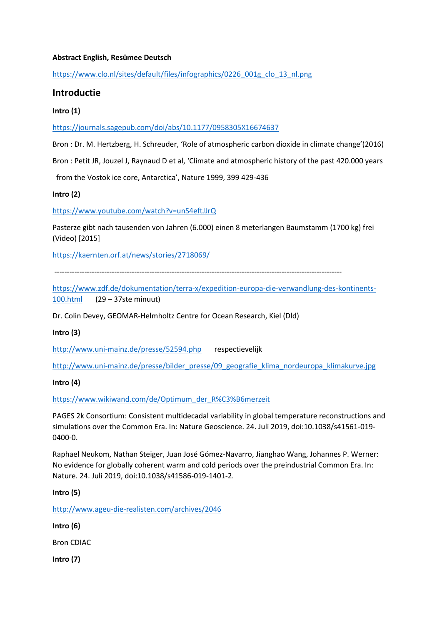### **Abstract English, Resümee Deutsch**

[https://www.clo.nl/sites/default/files/infographics/0226\\_001g\\_clo\\_13\\_nl.png](https://www.clo.nl/sites/default/files/infographics/0226_001g_clo_13_nl.png)

# **Introductie**

# **Intro (1)**

<https://journals.sagepub.com/doi/abs/10.1177/0958305X16674637>

Bron : Dr. M. Hertzberg, H. Schreuder, 'Role of atmospheric carbon dioxide in climate change'(2016)

Bron : Petit JR, Jouzel J, Raynaud D et al, 'Climate and atmospheric history of the past 420.000 years

from the Vostok ice core, Antarctica', Nature 1999, 399 429-436

**Intro (2)**

<https://www.youtube.com/watch?v=unS4eftJJrQ>

Pasterze gibt nach tausenden von Jahren (6.000) einen 8 meterlangen Baumstamm (1700 kg) frei (Video) [2015]

<https://kaernten.orf.at/news/stories/2718069/>

-------------------------------------------------------------------------------------------------------------------

[https://www.zdf.de/dokumentation/terra-x/expedition-europa-die-verwandlung-des-kontinents-](https://www.zdf.de/dokumentation/terra-x/expedition-europa-die-verwandlung-des-kontinents-100.html)[100.html](https://www.zdf.de/dokumentation/terra-x/expedition-europa-die-verwandlung-des-kontinents-100.html) (29 – 37ste minuut)

Dr. Colin Devey, GEOMAR-Helmholtz Centre for Ocean Research, Kiel (Dld)

# **Intro (3)**

<http://www.uni-mainz.de/presse/52594.php>respectievelijk

[http://www.uni-mainz.de/presse/bilder\\_presse/09\\_geografie\\_klima\\_nordeuropa\\_klimakurve.jpg](http://www.uni-mainz.de/presse/bilder_presse/09_geografie_klima_nordeuropa_klimakurve.jpg)

# **Intro (4)**

[https://www.wikiwand.com/de/Optimum\\_der\\_R%C3%B6merzeit](https://www.wikiwand.com/de/Optimum_der_R%C3%B6merzeit)

PAGES 2k Consortium: Consistent multidecadal variability in global temperature reconstructions and simulations over the Common Era. In: Nature Geoscience. 24. Juli 2019, doi:10.1038/s41561-019- 0400-0.

Raphael Neukom, Nathan Steiger, Juan José Gómez-Navarro, Jianghao Wang, Johannes P. Werner: No evidence for globally coherent warm and cold periods over the preindustrial Common Era. In: Nature. 24. Juli 2019, doi:10.1038/s41586-019-1401-2.

#### **Intro (5)**

<http://www.ageu-die-realisten.com/archives/2046>

**Intro (6)**

Bron CDIAC

**Intro (7)**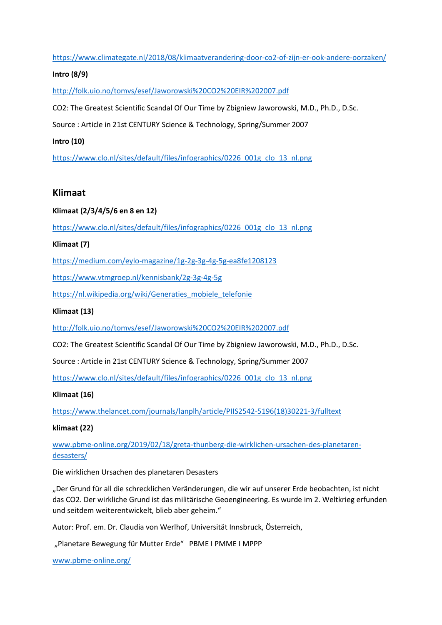<https://www.climategate.nl/2018/08/klimaatverandering-door-co2-of-zijn-er-ook-andere-oorzaken/>

# **Intro (8/9)**

<http://folk.uio.no/tomvs/esef/Jaworowski%20CO2%20EIR%202007.pdf>

CO2: The Greatest Scientific Scandal Of Our Time by Zbigniew Jaworowski, M.D., Ph.D., D.Sc.

Source : Article in 21st CENTURY Science & Technology, Spring/Summer 2007

# **Intro (10)**

[https://www.clo.nl/sites/default/files/infographics/0226\\_001g\\_clo\\_13\\_nl.png](https://www.clo.nl/sites/default/files/infographics/0226_001g_clo_13_nl.png)

# **Klimaat**

# **Klimaat (2/3/4/5/6 en 8 en 12)**

[https://www.clo.nl/sites/default/files/infographics/0226\\_001g\\_clo\\_13\\_nl.png](https://www.clo.nl/sites/default/files/infographics/0226_001g_clo_13_nl.png)

# **Klimaat (7)**

<https://medium.com/eylo-magazine/1g-2g-3g-4g-5g-ea8fe1208123>

<https://www.vtmgroep.nl/kennisbank/2g-3g-4g-5g>

[https://nl.wikipedia.org/wiki/Generaties\\_mobiele\\_telefonie](https://nl.wikipedia.org/wiki/Generaties_mobiele_telefonie)

# **Klimaat (13)**

<http://folk.uio.no/tomvs/esef/Jaworowski%20CO2%20EIR%202007.pdf>

CO2: The Greatest Scientific Scandal Of Our Time by Zbigniew Jaworowski, M.D., Ph.D., D.Sc.

Source : Article in 21st CENTURY Science & Technology, Spring/Summer 2007

[https://www.clo.nl/sites/default/files/infographics/0226\\_001g\\_clo\\_13\\_nl.png](https://www.clo.nl/sites/default/files/infographics/0226_001g_clo_13_nl.png)

# **Klimaat (16)**

[https://www.thelancet.com/journals/lanplh/article/PIIS2542-5196\(18\)30221-3/fulltext](https://www.thelancet.com/journals/lanplh/article/PIIS2542-5196(18)30221-3/fulltext)

# **klimaat (22)**

[www.pbme-online.org/2019/02/18/greta-thunberg-die-wirklichen-ursachen-des-planetaren](http://www.pbme-online.org/2019/02/18/greta-thunberg-die-wirklichen-ursachen-des-planetaren-desasters/)[desasters/](http://www.pbme-online.org/2019/02/18/greta-thunberg-die-wirklichen-ursachen-des-planetaren-desasters/)

Die wirklichen Ursachen des planetaren Desasters

"Der Grund für all die schrecklichen Veränderungen, die wir auf unserer Erde beobachten, ist nicht das CO2. Der wirkliche Grund ist das militärische Geoengineering. Es wurde im 2. Weltkrieg erfunden und seitdem weiterentwickelt, blieb aber geheim."

Autor: Prof. em. Dr. Claudia von Werlhof, Universität Innsbruck, Österreich,

"Planetare Bewegung für Mutter Erde" PBME I PMME I MPPP

[www.pbme-online.org/](http://www.pbme-online.org/)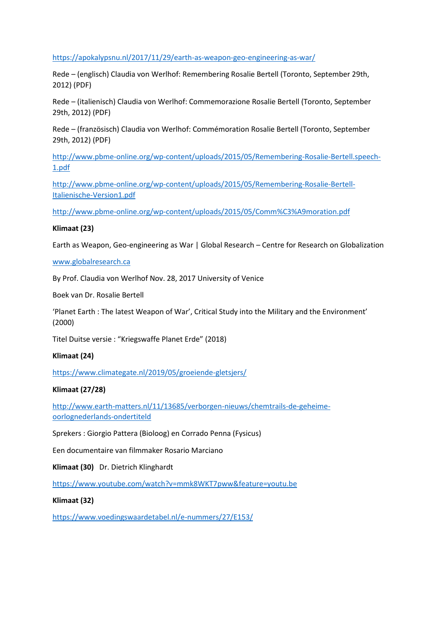<https://apokalypsnu.nl/2017/11/29/earth-as-weapon-geo-engineering-as-war/>

Rede – (englisch) Claudia von Werlhof: Remembering Rosalie Bertell (Toronto, September 29th, 2012) (PDF)

Rede – (italienisch) Claudia von Werlhof: Commemorazione Rosalie Bertell (Toronto, September 29th, 2012) (PDF)

Rede – (französisch) Claudia von Werlhof: Commémoration Rosalie Bertell (Toronto, September 29th, 2012) (PDF)

[http://www.pbme-online.org/wp-content/uploads/2015/05/Remembering-Rosalie-Bertell.speech-](http://www.pbme-online.org/wp-content/uploads/2015/05/Remembering-Rosalie-Bertell.speech-1.pdf)[1.pdf](http://www.pbme-online.org/wp-content/uploads/2015/05/Remembering-Rosalie-Bertell.speech-1.pdf)

[http://www.pbme-online.org/wp-content/uploads/2015/05/Remembering-Rosalie-Bertell-](http://www.pbme-online.org/wp-content/uploads/2015/05/Remembering-Rosalie-Bertell-Italienische-Version1.pdf)[Italienische-Version1.pdf](http://www.pbme-online.org/wp-content/uploads/2015/05/Remembering-Rosalie-Bertell-Italienische-Version1.pdf)

<http://www.pbme-online.org/wp-content/uploads/2015/05/Comm%C3%A9moration.pdf>

#### **Klimaat (23)**

Earth as Weapon, Geo-engineering as War | Global Research – Centre for Research on Globalization

#### [www.globalresearch.ca](http://www.globalresearch.ca/)

By Prof. Claudia von Werlhof Nov. 28, 2017 University of Venice

Boek van Dr. Rosalie Bertell

'Planet Earth : The latest Weapon of War', Critical Study into the Military and the Environment' (2000)

Titel Duitse versie : "Kriegswaffe Planet Erde" (2018)

#### **Klimaat (24)**

<https://www.climategate.nl/2019/05/groeiende-gletsjers/>

#### **Klimaat (27/28)**

[http://www.earth-matters.nl/11/13685/verborgen-nieuws/chemtrails-de-geheime](http://www.earth-matters.nl/11/13685/verborgen-nieuws/chemtrails-de-geheime-oorlognederlands-ondertiteld)[oorlognederlands-ondertiteld](http://www.earth-matters.nl/11/13685/verborgen-nieuws/chemtrails-de-geheime-oorlognederlands-ondertiteld)

Sprekers : Giorgio Pattera (Bioloog) en Corrado Penna (Fysicus)

Een documentaire van filmmaker Rosario Marciano

**Klimaat (30)** Dr. Dietrich Klinghardt

<https://www.youtube.com/watch?v=mmk8WKT7pww&feature=youtu.be>

#### **Klimaat (32)**

<https://www.voedingswaardetabel.nl/e-nummers/27/E153/>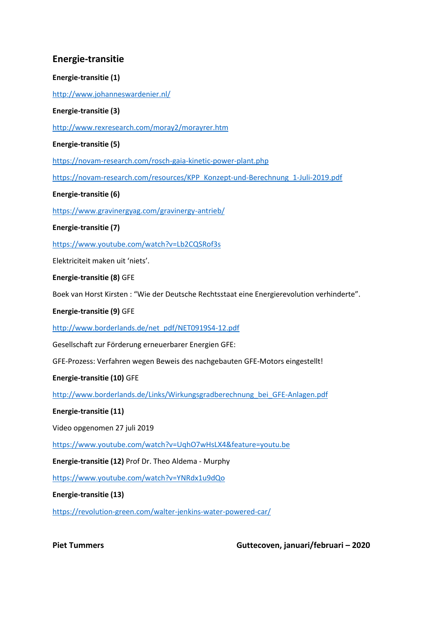# **Energie-transitie**

# **Energie-transitie (1)**

<http://www.johanneswardenier.nl/>

# **Energie-transitie (3)**

<http://www.rexresearch.com/moray2/morayrer.htm>

# **Energie-transitie (5)**

<https://novam-research.com/rosch-gaia-kinetic-power-plant.php>

[https://novam-research.com/resources/KPP\\_Konzept-und-Berechnung\\_1-Juli-2019.pdf](https://novam-research.com/resources/KPP_Konzept-und-Berechnung_1-Juli-2019.pdf)

# **Energie-transitie (6)**

<https://www.gravinergyag.com/gravinergy-antrieb/>

## **Energie-transitie (7)**

<https://www.youtube.com/watch?v=Lb2CQSRof3s>

Elektriciteit maken uit 'niets'.

## **Energie-transitie (8)** GFE

Boek van Horst Kirsten : "Wie der Deutsche Rechtsstaat eine Energierevolution verhinderte".

### **Energie-transitie (9)** GFE

[http://www.borderlands.de/net\\_pdf/NET0919S4-12.pdf](http://www.borderlands.de/net_pdf/NET0919S4-12.pdf)

Gesellschaft zur Förderung erneuerbarer Energien GFE:

GFE-Prozess: Verfahren wegen Beweis des nachgebauten GFE-Motors eingestellt!

# **Energie-transitie (10)** GFE

[http://www.borderlands.de/Links/Wirkungsgradberechnung\\_bei\\_GFE-Anlagen.pdf](http://www.borderlands.de/Links/Wirkungsgradberechnung_bei_GFE-Anlagen.pdf)

#### **Energie-transitie (11)**

Video opgenomen 27 juli 2019

<https://www.youtube.com/watch?v=UqhO7wHsLX4&feature=youtu.be>

**Energie-transitie (12)** Prof Dr. Theo Aldema - Murphy

<https://www.youtube.com/watch?v=YNRdx1u9dQo>

#### **Energie-transitie (13)**

<https://revolution-green.com/walter-jenkins-water-powered-car/>

**Piet Tummers Guttecoven, januari/februari – 2020**